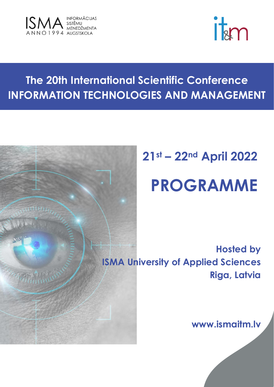



## **The 20th International Scientific Conference INFORMATION TECHNOLOGIES AND MANAGEMENT**



# **21st – 22nd April 2022**

## **PROGRAMME**

**Hosted by ISMA University of Applied Sciences Riga, Latvia**

**www.ismaitm.lv**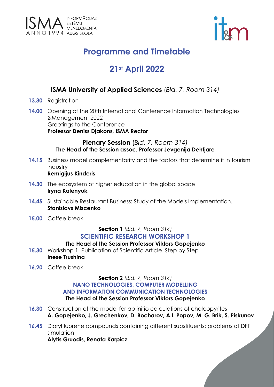



## **Programme and Timetable**

### **21st April 2022**

#### **ISMA University of Applied Sciences** (*Bld. 7, Room 314)*

- **13.30** Registration
- **14.00** Opening of the 20th International Conference Information Technologies &Management 2022 Greetings to the Conference **Professor Deniss Djakons, ISMA Rector**

#### **Plenary Session** (*Bld. 7, Room 314)* **The Head of the Session assoc. Professor Jevgenija Dehtjare**

- **14.15** Business model complementarity and the factors that determine it in tourism industry **Remigijus Kinderis**
- **14.30** The ecosystem of higher education in the global space **Iryna Kalenyuk**
- **14.45** Sustainable Restaurant Business: Study of the Models Implementation. **Stanislavs Miscenko**
- **15.00** Coffee break

#### **Section 1** *(Bld. 7, Room 314)* **SCIENTIFIC RESEARCH WORKSHOP 1**

#### **The Head of the Session Professor Viktors Gopejenko**

- **15.30** Workshop 1. Publication of Scientific Article. Step by Step **Inese Trushina**
- **16.20** Coffee break

#### **Section 2** *(Bld. 7, Room 314)* **NANO TECHNOLOGIES, COMPUTER MODELLING AND INFORMATION COMMUNICATION TECHNOLOGIES The Head of the Session Professor Viktors Gopejenko**

- **16.30** Construction of the model for ab initio calculations of chalcopyrites **A. Gopejenko, J. Grechenkov, D. Bocharov, A.I. Popov, M. G. Brik, S. Piskunov**
- **16.45** Diarylfluorene compounds containing different substituents: problems of DFT simulation

**Alytis Gruodis, Renata Karpicz**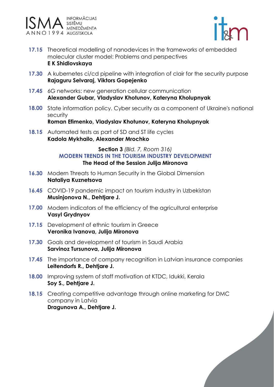



- **17.15** Theoretical modelling of nanodevices in the frameworks of embedded molecular cluster model: Problems and perspectives **E K Shidlovskaya**
- **17.30** A kubernetes ci/cd pipeline with integration of clair for the security purpose **Rajaguru Selvaraj, Viktors Gopejenko**
- **17.45** 6G networks: new generation cellular communication **Alexander Gubar, Vladyslav Khotunov, Kateryna Kholupnyak**
- **18.00** State information policy. Cyber security as a component of Ukraine's national security

**Roman Efimenko, Vladyslav Khotunov, Kateryna Kholupnyak**

**18.15** Automated tests as part of SD and ST life cycles **Kadola Mykhailo, Alexander Mrochko**

#### **Section 3** *(Bld. 7, Room 316)* **MODERN TRENDS IN THE TOURISM INDUSTRY DEVELOPMENT The Head of the Session Julija Mironova**

- **16.30** Modern Threats to Human Security in the Global Dimension **Nataliya Kuznetsova**
- **16.45** COVID-19 pandemic impact on tourism industry in Uzbekistan **Musinjonova N., Dehtjare J.**
- **17.00** Modern indicators of the efficiency of the agricultural enterprise **Vasyl Grydnyov**
- **17.15** Development of ethnic tourism in Greece **Veronika Ivanova, Julija Mironova**
- **17.30** Goals and development of tourism in Saudi Arabia **Sarvinoz Tursunova, Julija Mironova**
- **17.45** The importance of company recognition in Latvian insurance companies **Leitendorfs R., Dehtjare J.**
- **18.00** Improving system of staff motivation at KTDC, Idukki, Kerala **Soy S., Dehtjare J.**
- **18.15** Creating competitive advantage through online marketing for DMC company in Latvia **Dragunova A., Dehtjare J.**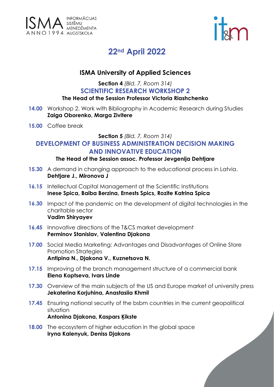



### **22nd April 2022**

#### **ISMA University of Applied Sciences**

#### **Section 4** *(Bld. 7, Room 314)* **SCIENTIFIC RESEARCH WORKSHOP 2**

#### **The Head of the Session Professor Victoria Riashchenko**

- **14.00** Workshop 2. Work with Bibliography in Academic Research during Studies **Zaiga Oborenko, Marga Zivitere**
- **15.00** Coffee break

#### **Section 5** *(Bld. 7, Room 314)*

#### **DEVELOPMENT OF BUSINESS ADMINISTRATION DECISION MAKING AND INNOVATIVE EDUCATION**

#### **The Head of the Session assoc. Professor Jevgenija Dehtjare**

- **15.30** A demand in changing approach to the educational process in Latvia. **Dehtjare J., Mironova J**
- **16.15** Intellectual Capital Management at the Scientific Institutions **Inese Spica, Baiba Berzina, Ernests Spics, Rozite Katrina Spica**
- **16.30** Impact of the pandemic on the development of digital technologies in the charitable sector **Vadim Shiryayev**
- **16.45** Innovative directions of the T&CS market development **Perminov Stanislav, Valentina Djakona**
- **17.00** Social Media Marketing: Advantages and Disadvantages of Online Store Promotion Strategies **Antipina N., Djakona V., Kuznetsova N.**
- **17.15** Improving of the branch management structure of a commercial bank **Elena Koptseva, Ivars Linde**
- **17.30** Overview of the main subjects of the US and Europe market of university press **Jekaterina Korjuhina, Anastasiia Khmil**
- **17.45** Ensuring national security of the bsbm countries in the current geopolitical situation **Antonina Djakona, Kaspars Ķikste**
- **18.00** The ecosystem of higher education in the global space **Iryna Kalenyuk, Deniss Djakons**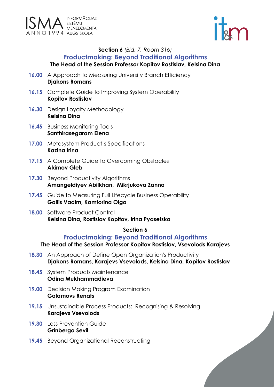



#### **Section 6** *(Bld. 7, Room 316)* **Productmaking: Beyond Traditional Algorithms The Head of the Session Professor Kopitov Rostislav, Kelsina Dina**

- **16.00** A Approach to Measuring University Branch Efficiency **Djakons Romans**
- **16.15** Complete Guide to Improving System Operability **Kopitov Rostislav**
- **16.30** Design Loyalty Methodology **Kelsina Dina**
- **16.45** Business Monitoring Tools **Santhirasegaram Elena**
- **17.00** Metasystem Product's Specifications **Kazina Irina**
- **17.15** A Complete Guide to Overcoming Obstacles **Akimov Gleb**
- **17.30** Beyond Productivity Algorithms **Amangeldiyev Abilkhan, Mikrjukova Zanna**
- **17.45** Guide to Measuring Full Lifecycle Business Operability **Gailis Vadim, Kamforina Olga**
- **18.00** Software Product Control **Kelsina Dina, Rostislav Kopitov, Irina Pyasetska**

#### **Section 6**

#### **Productmaking: Beyond Traditional Algorithms**

#### **The Head of the Session Professor Kopitov Rostislav, Vsevolods Karajevs**

- **18.30** An Approach of Define Open Organization's Productivity **Djakons Romans, Karajevs Vsevolods, Kelsina Dina, Kopitov Rostislav**
- **18.45** System Products Maintenance **Odina Mukhammadieva**
- **19.00** Decision Making Program Examination **Galamovs Renats**
- **19.15** Unsustainable Process Products: Recognising & Resolving **Karajevs Vsevolods**
- **19.30** Loss Prevention Guide **Grinberga Sevil**
- **19.45** Beyond Organizational Reconstructing